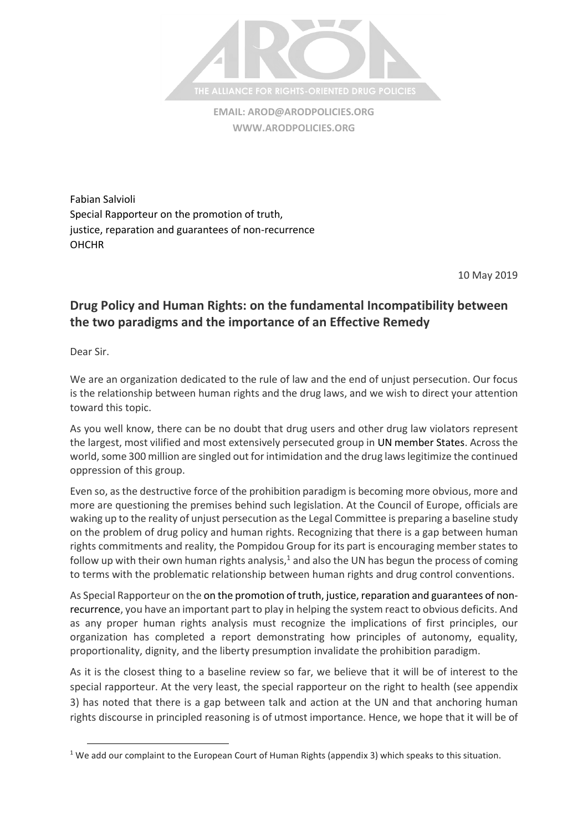

**EMAIL: [AROD@ARODPOLICIES.ORG](mailto:AROD@ARODPOLICIES.ORG) [WWW.ARODPOLICIES.ORG](http://www.arodpolicies.org/)**

Fabian Salvioli Special Rapporteur on the promotion of truth, justice, reparation and guarantees of non-recurrence **OHCHR** 

10 May 2019

## **Drug Policy and Human Rights: on the fundamental Incompatibility between the two paradigms and the importance of an Effective Remedy**

Dear Sir.

 $\overline{a}$ 

We are an organization dedicated to the rule of law and the end of unjust persecution. Our focus is the relationship between human rights and the drug laws, and we wish to direct your attention toward this topic.

As you well know, there can be no doubt that drug users and other drug law violators represent the largest, most vilified and most extensively persecuted group in UN member States. Across the world, some 300 million are singled out for intimidation and the drug laws legitimize the continued oppression of this group.

Even so, as the destructive force of the prohibition paradigm is becoming more obvious, more and more are questioning the premises behind such legislation. At the Council of Europe, officials are waking up to the reality of unjust persecution asthe Legal Committee is preparing a baseline study on the problem of drug policy and human rights. Recognizing that there is a gap between human rights commitments and reality, the Pompidou Group for its part is encouraging member states to follow up with their own human rights analysis, $1$  and also the UN has begun the process of coming to terms with the problematic relationship between human rights and drug control conventions.

As Special Rapporteur on the on the promotion of truth, justice, reparation and guarantees of nonrecurrence, you have an important part to play in helping the system react to obvious deficits. And as any proper human rights analysis must recognize the implications of first principles, our organization has completed a report demonstrating how principles of autonomy, equality, proportionality, dignity, and the liberty presumption invalidate the prohibition paradigm.

As it is the closest thing to a baseline review so far, we believe that it will be of interest to the special rapporteur. At the very least, the special rapporteur on the right to health (see appendix 3) has noted that there is a gap between talk and action at the UN and that anchoring human rights discourse in principled reasoning is of utmost importance. Hence, we hope that it will be of

<sup>&</sup>lt;sup>1</sup> We add our complaint to the European Court of Human Rights (appendix 3) which speaks to this situation.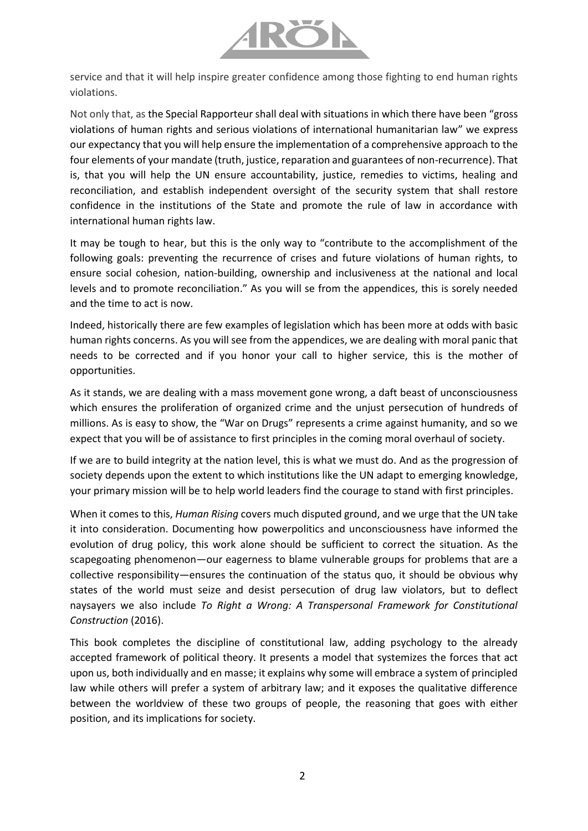

service and that it will help inspire greater confidence among those fighting to end human rights violations.

Not only that, as the Special Rapporteur shall deal with situations in which there have been "gross violations of human rights and serious violations of international humanitarian law" we express our expectancy that you will help ensure the implementation of a comprehensive approach to the four elements of your mandate (truth, justice, reparation and guarantees of non-recurrence). That is, that you will help the UN ensure accountability, justice, remedies to victims, healing and reconciliation, and establish independent oversight of the security system that shall restore confidence in the institutions of the State and promote the rule of law in accordance with international human rights law.

It may be tough to hear, but this is the only way to "contribute to the accomplishment of the following goals: preventing the recurrence of crises and future violations of human rights, to ensure social cohesion, nation-building, ownership and inclusiveness at the national and local levels and to promote reconciliation." As you will se from the appendices, this is sorely needed and the time to act is now.

Indeed, historically there are few examples of legislation which has been more at odds with basic human rights concerns. As you will see from the appendices, we are dealing with moral panic that needs to be corrected and if you honor your call to higher service, this is the mother of opportunities.

As it stands, we are dealing with a mass movement gone wrong, a daft beast of unconsciousness which ensures the proliferation of organized crime and the unjust persecution of hundreds of millions. As is easy to show, the "War on Drugs" represents a crime against humanity, and so we expect that you will be of assistance to first principles in the coming moral overhaul of society.

If we are to build integrity at the nation level, this is what we must do. And as the progression of society depends upon the extent to which institutions like the UN adapt to emerging knowledge, your primary mission will be to help world leaders find the courage to stand with first principles.

When it comes to this, *Human Rising* covers much disputed ground, and we urge that the UN take it into consideration. Documenting how powerpolitics and unconsciousness have informed the evolution of drug policy, this work alone should be sufficient to correct the situation. As the scapegoating phenomenon—our eagerness to blame vulnerable groups for problems that are a collective responsibility—ensures the continuation of the status quo, it should be obvious why states of the world must seize and desist persecution of drug law violators, but to deflect naysayers we also include *To Right a Wrong: A Transpersonal Framework for Constitutional Construction* (2016).

This book completes the discipline of constitutional law, adding psychology to the already accepted framework of political theory. It presents a model that systemizes the forces that act upon us, both individually and en masse; it explains why some will embrace a system of principled law while others will prefer a system of arbitrary law; and it exposes the qualitative difference between the worldview of these two groups of people, the reasoning that goes with either position, and its implications for society.